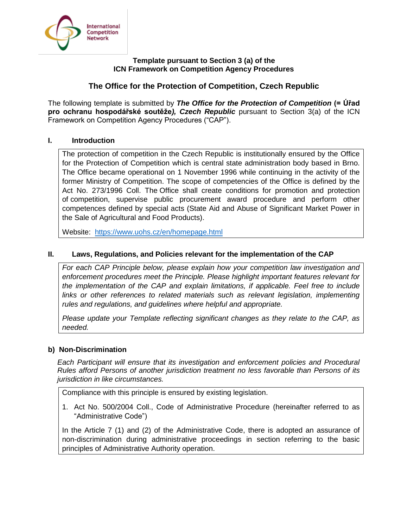

#### **Template pursuant to Section 3 (a) of the ICN Framework on Competition Agency Procedures**

# **The Office for the Protection of Competition, Czech Republic**

The following template is submitted by *The Office for the Protection of Competition* **(= Úřad pro ochranu hospodářské soutěže***), Czech Republic* pursuant to Section 3(a) of the ICN Framework on Competition Agency Procedures ("CAP").

#### **I. Introduction**

The protection of competition in the Czech Republic is institutionally ensured by the Office for the Protection of Competition which is central state administration body based in Brno. The Office became operational on 1 November 1996 while continuing in the activity of the former Ministry of Competition. The scope of competencies of the Office is defined by the Act No. 273/1996 Coll. The Office shall create conditions for promotion and protection of competition, supervise public procurement award procedure and perform other competences defined by special acts (State Aid and Abuse of Significant Market Power in the Sale of Agricultural and Food Products).

Website: <https://www.uohs.cz/en/homepage.html>

### **II. Laws, Regulations, and Policies relevant for the implementation of the CAP**

*For each CAP Principle below, please explain how your competition law investigation and enforcement procedures meet the Principle. Please highlight important features relevant for the implementation of the CAP and explain limitations, if applicable. Feel free to include*  links or other references to related materials such as relevant legislation, implementing *rules and regulations, and guidelines where helpful and appropriate.*

*Please update your Template reflecting significant changes as they relate to the CAP, as needed.*

#### **b) Non-Discrimination**

*Each Participant will ensure that its investigation and enforcement policies and Procedural Rules afford Persons of another jurisdiction treatment no less favorable than Persons of its jurisdiction in like circumstances.*

Compliance with this principle is ensured by existing legislation.

1. Act No. 500/2004 Coll., Code of Administrative Procedure (hereinafter referred to as "Administrative Code")

In the Article 7 (1) and (2) of the Administrative Code, there is adopted an assurance of non-discrimination during administrative proceedings in section referring to the basic principles of Administrative Authority operation.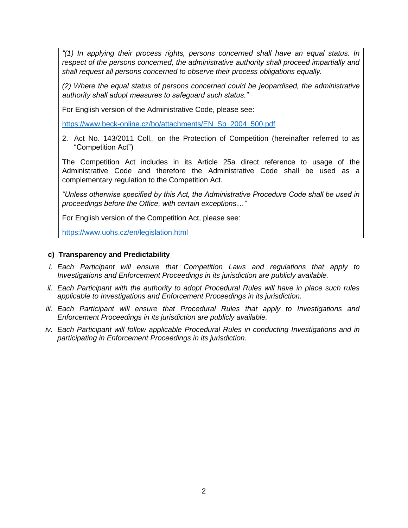*"(1) In applying their process rights, persons concerned shall have an equal status. In*  respect of the persons concerned, the administrative authority shall proceed impartially and *shall request all persons concerned to observe their process obligations equally.* 

*(2) Where the equal status of persons concerned could be jeopardised, the administrative authority shall adopt measures to safeguard such status."*

For English version of the Administrative Code, please see:

[https://www.beck-online.cz/bo/attachments/EN\\_Sb\\_2004\\_500.pdf](https://www.beck-online.cz/bo/attachments/EN_Sb_2004_500.pdf)

2. Act No. 143/2011 Coll., on the Protection of Competition (hereinafter referred to as "Competition Act")

The Competition Act includes in its Article 25a direct reference to usage of the Administrative Code and therefore the Administrative Code shall be used as a complementary regulation to the Competition Act.

*"Unless otherwise specified by this Act, the Administrative Procedure Code shall be used in proceedings before the Office, with certain exceptions…"*

For English version of the Competition Act, please see:

<https://www.uohs.cz/en/legislation.html>

### **c) Transparency and Predictability**

- *i. Each Participant will ensure that Competition Laws and regulations that apply to Investigations and Enforcement Proceedings in its jurisdiction are publicly available.*
- *ii. Each Participant with the authority to adopt Procedural Rules will have in place such rules applicable to Investigations and Enforcement Proceedings in its jurisdiction.*
- *iii. Each Participant will ensure that Procedural Rules that apply to Investigations and Enforcement Proceedings in its jurisdiction are publicly available.*
- *iv. Each Participant will follow applicable Procedural Rules in conducting Investigations and in participating in Enforcement Proceedings in its jurisdiction.*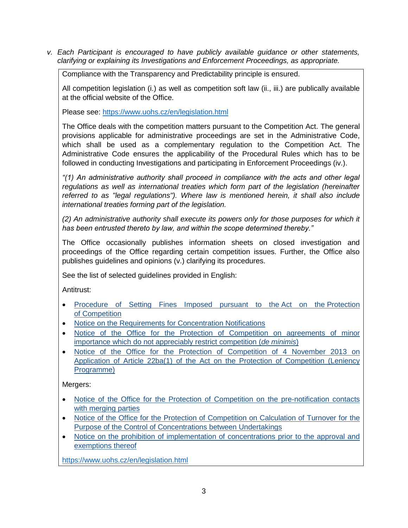*v. Each Participant is encouraged to have publicly available guidance or other statements, clarifying or explaining its Investigations and Enforcement Proceedings, as appropriate.*

Compliance with the Transparency and Predictability principle is ensured.

All competition legislation (i.) as well as competition soft law (ii., iii.) are publically available at the official website of the Office.

Please see:<https://www.uohs.cz/en/legislation.html>

The Office deals with the competition matters pursuant to the Competition Act. The general provisions applicable for administrative proceedings are set in the Administrative Code, which shall be used as a complementary regulation to the Competition Act. The Administrative Code ensures the applicability of the Procedural Rules which has to be followed in conducting Investigations and participating in Enforcement Proceedings (iv.).

*"(1) An administrative authority shall proceed in compliance with the acts and other legal regulations as well as international treaties which form part of the legislation (hereinafter referred to as "legal regulations"). Where law is mentioned herein, it shall also include international treaties forming part of the legislation.* 

*(2) An administrative authority shall execute its powers only for those purposes for which it has been entrusted thereto by law, and within the scope determined thereby."*

The Office occasionally publishes information sheets on closed investigation and proceedings of the Office regarding certain competition issues. Further, the Office also publishes guidelines and opinions (v.) clarifying its procedures.

See the list of selected guidelines provided in English:

Antitrust:

- [Procedure](http://www.uohs.cz/download/Legislativa/HS/SoftLaw/Guidelines-on-Fines_January-2019.pdf) of Setting Fines Imposed pursuant to the Act on the Protection of [Competition](http://www.uohs.cz/download/Legislativa/HS/SoftLaw/Guidelines-on-Fines_January-2019.pdf)
- Notice on the Requirements for [Concentration](http://www.uohs.cz/download/Legislativa/legislativa_EN/Notice-on-the-Reqirements-for-Concentration-Notifications_2016.pdf) Notifications
- Notice of the Office for the Protection of [Competition](https://www.uohs.cz/download/Sekce_HS/Guidelines/de_minimis_notice_UOHS_eng.doc) on agreements of minor importance which do not [appreciably](https://www.uohs.cz/download/Sekce_HS/Guidelines/de_minimis_notice_UOHS_eng.doc) restrict competition (*de minimis*)
- Notice of the Office for the Protection of [Competition](http://www.uohs.cz/download/Legislativa/legislativa_EN/Leniency_programme_2013.pdf) of 4 November 2013 on Application of Article 22ba(1) of the Act on the Protection of [Competition](http://www.uohs.cz/download/Legislativa/legislativa_EN/Leniency_programme_2013.pdf) (Leniency [Programme\)](http://www.uohs.cz/download/Legislativa/legislativa_EN/Leniency_programme_2013.pdf)

Mergers:

- Notice of the Office for the Protection of Competition on the [pre-notification](https://www.uohs.cz/download/Sekce_HS/Pre-notification_cotacts_mergers.doc) contacts with [merging](https://www.uohs.cz/download/Sekce_HS/Pre-notification_cotacts_mergers.doc) parties
- Notice of the Office for the Protection of [Competition](https://www.uohs.cz/download/Sekce_HS/Guidelines/Turnover_Calc_eng.doc) on Calculation of Turnover for the Purpose of the Control of [Concentrations](https://www.uohs.cz/download/Sekce_HS/Guidelines/Turnover_Calc_eng.doc) between Undertakings
- Notice on the prohibition of [implementation](https://www.uohs.cz/download/Sekce_HS/Guidelines/Prohibition_of_concentration_prior_to_approval_eng.doc) of concentrations prior to the approval and [exemptions](https://www.uohs.cz/download/Sekce_HS/Guidelines/Prohibition_of_concentration_prior_to_approval_eng.doc) thereof

<https://www.uohs.cz/en/legislation.html>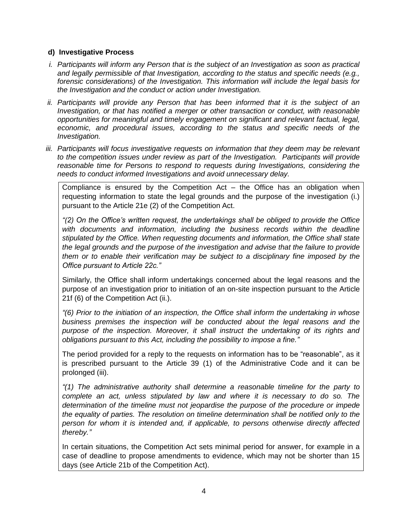### **d) Investigative Process**

- *i. Participants will inform any Person that is the subject of an Investigation as soon as practical and legally permissible of that Investigation, according to the status and specific needs (e.g., forensic considerations) of the Investigation. This information will include the legal basis for the Investigation and the conduct or action under Investigation.*
- *ii. Participants will provide any Person that has been informed that it is the subject of an Investigation, or that has notified a merger or other transaction or conduct, with reasonable opportunities for meaningful and timely engagement on significant and relevant factual, legal, economic, and procedural issues, according to the status and specific needs of the Investigation.*
- iii. Participants will focus investigative requests on information that they deem may be relevant *to the competition issues under review as part of the Investigation. Participants will provide reasonable time for Persons to respond to requests during Investigations, considering the needs to conduct informed Investigations and avoid unnecessary delay.*

Compliance is ensured by the Competition  $Act - the Office has an obligation when$ requesting information to state the legal grounds and the purpose of the investigation (i.) pursuant to the Article 21e (2) of the Competition Act.

*"(2) On the Office's written request, the undertakings shall be obliged to provide the Office with documents and information, including the business records within the deadline stipulated by the Office. When requesting documents and information, the Office shall state the legal grounds and the purpose of the investigation and advise that the failure to provide them or to enable their verification may be subject to a disciplinary fine imposed by the Office pursuant to Article 22c."* 

Similarly, the Office shall inform undertakings concerned about the legal reasons and the purpose of an investigation prior to initiation of an on-site inspection pursuant to the Article 21f (6) of the Competition Act (ii.).

*"(6) Prior to the initiation of an inspection, the Office shall inform the undertaking in whose business premises the inspection will be conducted about the legal reasons and the purpose of the inspection. Moreover, it shall instruct the undertaking of its rights and obligations pursuant to this Act, including the possibility to impose a fine."*

The period provided for a reply to the requests on information has to be "reasonable", as it is prescribed pursuant to the Article 39 (1) of the Administrative Code and it can be prolonged (iii).

*"(1) The administrative authority shall determine a reasonable timeline for the party to complete an act, unless stipulated by law and where it is necessary to do so. The determination of the timeline must not jeopardise the purpose of the procedure or impede the equality of parties. The resolution on timeline determination shall be notified only to the person for whom it is intended and, if applicable, to persons otherwise directly affected thereby."*

In certain situations, the Competition Act sets minimal period for answer, for example in a case of deadline to propose amendments to evidence, which may not be shorter than 15 days (see Article 21b of the Competition Act).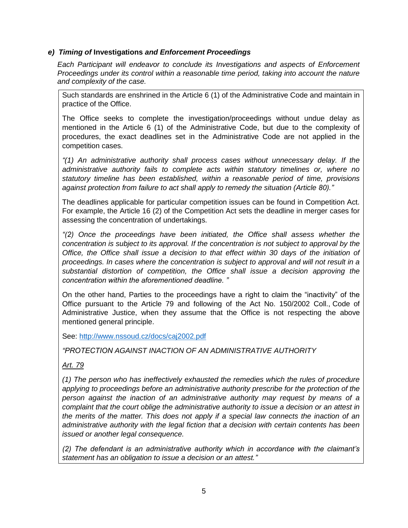### *e) Timing of* **Investigations** *and Enforcement Proceedings*

*Each Participant will endeavor to conclude its Investigations and aspects of Enforcement Proceedings under its control within a reasonable time period, taking into account the nature and complexity of the case.*

Such standards are enshrined in the Article 6 (1) of the Administrative Code and maintain in practice of the Office.

The Office seeks to complete the investigation/proceedings without undue delay as mentioned in the Article 6 (1) of the Administrative Code, but due to the complexity of procedures, the exact deadlines set in the Administrative Code are not applied in the competition cases.

*"(1) An administrative authority shall process cases without unnecessary delay. If the administrative authority fails to complete acts within statutory timelines or, where no statutory timeline has been established, within a reasonable period of time, provisions against protection from failure to act shall apply to remedy the situation (Article 80)."*

The deadlines applicable for particular competition issues can be found in Competition Act. For example, the Article 16 (2) of the Competition Act sets the deadline in merger cases for assessing the concentration of undertakings.

*"(2) Once the proceedings have been initiated, the Office shall assess whether the concentration is subject to its approval. If the concentration is not subject to approval by the Office, the Office shall issue a decision to that effect within 30 days of the initiation of proceedings. In cases where the concentration is subject to approval and will not result in a substantial distortion of competition, the Office shall issue a decision approving the concentration within the aforementioned deadline. "*

On the other hand, Parties to the proceedings have a right to claim the "inactivity" of the Office pursuant to the Article 79 and following of the Act No. 150/2002 Coll., Code of Administrative Justice, when they assume that the Office is not respecting the above mentioned general principle.

See:<http://www.nssoud.cz/docs/caj2002.pdf>

*"PROTECTION AGAINST INACTION OF AN ADMINISTRATIVE AUTHORITY*

*Art. 79*

*(1) The person who has ineffectively exhausted the remedies which the rules of procedure applying to proceedings before an administrative authority prescribe for the protection of the person against the inaction of an administrative authority may request by means of a complaint that the court oblige the administrative authority to issue a decision or an attest in the merits of the matter. This does not apply if a special law connects the inaction of an administrative authority with the legal fiction that a decision with certain contents has been issued or another legal consequence.* 

*(2) The defendant is an administrative authority which in accordance with the claimant's statement has an obligation to issue a decision or an attest."*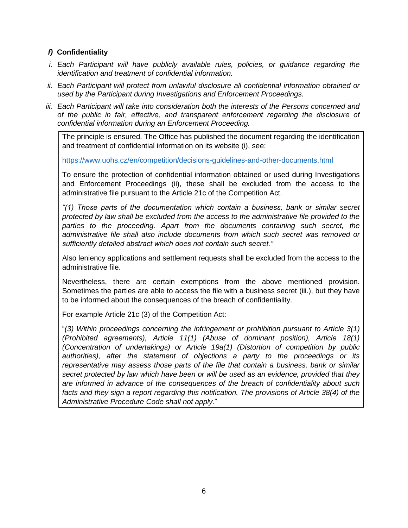# *f)* **Confidentiality**

- *i. Each Participant will have publicly available rules, policies, or guidance regarding the identification and treatment of confidential information.*
- *ii. Each Participant will protect from unlawful disclosure all confidential information obtained or used by the Participant during Investigations and Enforcement Proceedings.*
- *iii. Each Participant will take into consideration both the interests of the Persons concerned and of the public in fair, effective, and transparent enforcement regarding the disclosure of confidential information during an Enforcement Proceeding.*

The principle is ensured. The Office has published the document regarding the identification and treatment of confidential information on its website (i), see:

<https://www.uohs.cz/en/competition/decisions-guidelines-and-other-documents.html>

To ensure the protection of confidential information obtained or used during Investigations and Enforcement Proceedings (ii), these shall be excluded from the access to the administrative file pursuant to the Article 21c of the Competition Act.

*"(1) Those parts of the documentation which contain a business, bank or similar secret protected by law shall be excluded from the access to the administrative file provided to the*  parties to the proceeding. Apart from the documents containing such secret, the *administrative file shall also include documents from which such secret was removed or sufficiently detailed abstract which does not contain such secret."*

Also leniency applications and settlement requests shall be excluded from the access to the administrative file.

Nevertheless, there are certain exemptions from the above mentioned provision. Sometimes the parties are able to access the file with a business secret (iii.), but they have to be informed about the consequences of the breach of confidentiality.

For example Article 21c (3) of the Competition Act:

"*(3) Within proceedings concerning the infringement or prohibition pursuant to Article 3(1) (Prohibited agreements), Article 11(1) (Abuse of dominant position), Article 18(1) (Concentration of undertakings) or Article 19a(1) (Distortion of competition by public authorities), after the statement of objections a party to the proceedings or its representative may assess those parts of the file that contain a business, bank or similar secret protected by law which have been or will be used as an evidence, provided that they are informed in advance of the consequences of the breach of confidentiality about such*  facts and they sign a report regarding this notification. The provisions of Article 38(4) of the *Administrative Procedure Code shall not apply.*"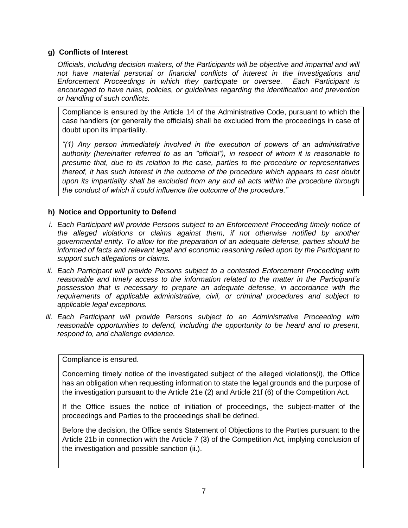## **g) Conflicts of Interest**

*Officials, including decision makers, of the Participants will be objective and impartial and will not have material personal or financial conflicts of interest in the Investigations and Enforcement Proceedings in which they participate or oversee. Each Participant is encouraged to have rules, policies, or guidelines regarding the identification and prevention or handling of such conflicts.*

Compliance is ensured by the Article 14 of the Administrative Code, pursuant to which the case handlers (or generally the officials) shall be excluded from the proceedings in case of doubt upon its impartiality.

*"(1) Any person immediately involved in the execution of powers of an administrative authority (hereinafter referred to as an "official"), in respect of whom it is reasonable to presume that, due to its relation to the case, parties to the procedure or representatives thereof, it has such interest in the outcome of the procedure which appears to cast doubt upon its impartiality shall be excluded from any and all acts within the procedure through the conduct of which it could influence the outcome of the procedure."*

## **h) Notice and Opportunity to Defend**

- *i.* Each Participant will provide Persons subject to an Enforcement Proceeding timely notice of *the alleged violations or claims against them, if not otherwise notified by another governmental entity. To allow for the preparation of an adequate defense, parties should be informed of facts and relevant legal and economic reasoning relied upon by the Participant to support such allegations or claims.*
- *ii. Each Participant will provide Persons subject to a contested Enforcement Proceeding with reasonable and timely access to the information related to the matter in the Participant's possession that is necessary to prepare an adequate defense, in accordance with the requirements of applicable administrative, civil, or criminal procedures and subject to applicable legal exceptions.*
- *iii. Each Participant will provide Persons subject to an Administrative Proceeding with reasonable opportunities to defend, including the opportunity to be heard and to present, respond to, and challenge evidence.*

Compliance is ensured.

Concerning timely notice of the investigated subject of the alleged violations(i), the Office has an obligation when requesting information to state the legal grounds and the purpose of the investigation pursuant to the Article 21e (2) and Article 21f (6) of the Competition Act.

If the Office issues the notice of initiation of proceedings, the subject-matter of the proceedings and Parties to the proceedings shall be defined.

Before the decision, the Office sends Statement of Objections to the Parties pursuant to the Article 21b in connection with the Article 7 (3) of the Competition Act, implying conclusion of the investigation and possible sanction (ii.).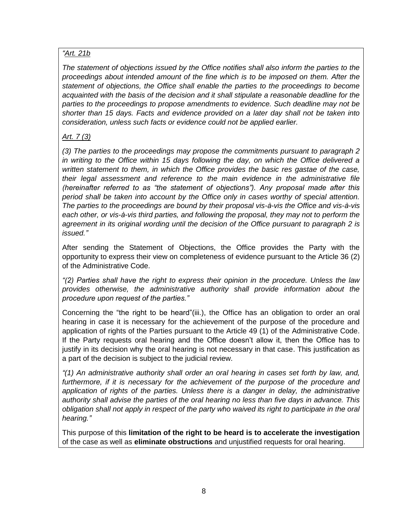# *"Art. 21b*

*The statement of objections issued by the Office notifies shall also inform the parties to the proceedings about intended amount of the fine which is to be imposed on them. After the statement of objections, the Office shall enable the parties to the proceedings to become acquainted with the basis of the decision and it shall stipulate a reasonable deadline for the parties to the proceedings to propose amendments to evidence. Such deadline may not be shorter than 15 days. Facts and evidence provided on a later day shall not be taken into consideration, unless such facts or evidence could not be applied earlier.*

# *Art. 7 (3)*

*(3) The parties to the proceedings may propose the commitments pursuant to paragraph 2 in writing to the Office within 15 days following the day, on which the Office delivered a written statement to them, in which the Office provides the basic res gastae of the case, their legal assessment and reference to the main evidence in the administrative file (hereinafter referred to as "the statement of objections"). Any proposal made after this period shall be taken into account by the Office only in cases worthy of special attention. The parties to the proceedings are bound by their proposal vis-à-vis the Office and vis-à-vis each other, or vis-à-vis third parties, and following the proposal, they may not to perform the agreement in its original wording until the decision of the Office pursuant to paragraph 2 is issued."*

After sending the Statement of Objections, the Office provides the Party with the opportunity to express their view on completeness of evidence pursuant to the Article 36 (2) of the Administrative Code.

*"(2) Parties shall have the right to express their opinion in the procedure. Unless the law provides otherwise, the administrative authority shall provide information about the procedure upon request of the parties."*

Concerning the "the right to be heard"(iii.), the Office has an obligation to order an oral hearing in case it is necessary for the achievement of the purpose of the procedure and application of rights of the Parties pursuant to the Article 49 (1) of the Administrative Code. If the Party requests oral hearing and the Office doesn't allow it, then the Office has to justify in its decision why the oral hearing is not necessary in that case. This justification as a part of the decision is subject to the judicial review.

*"(1) An administrative authority shall order an oral hearing in cases set forth by law, and,*  furthermore, if it is necessary for the achievement of the purpose of the procedure and application of rights of the parties. Unless there is a danger in delay, the administrative *authority shall advise the parties of the oral hearing no less than five days in advance. This obligation shall not apply in respect of the party who waived its right to participate in the oral hearing."*

This purpose of this **limitation of the right to be heard is to accelerate the investigation** of the case as well as **eliminate obstructions** and unjustified requests for oral hearing.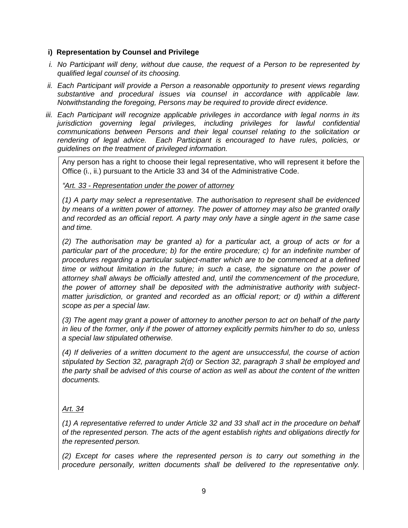## **i) Representation by Counsel and Privilege**

- *i. No Participant will deny, without due cause, the request of a Person to be represented by qualified legal counsel of its choosing.*
- *ii. Each Participant will provide a Person a reasonable opportunity to present views regarding substantive and procedural issues via counsel in accordance with applicable law. Notwithstanding the foregoing, Persons may be required to provide direct evidence.*
- *iii. Each Participant will recognize applicable privileges in accordance with legal norms in its jurisdiction governing legal privileges, including privileges for lawful confidential communications between Persons and their legal counsel relating to the solicitation or rendering of legal advice. Each Participant is encouraged to have rules, policies, or guidelines on the treatment of privileged information.*

Any person has a right to choose their legal representative, who will represent it before the Office (i., ii.) pursuant to the Article 33 and 34 of the Administrative Code.

*"Art. 33 - Representation under the power of attorney*

*(1) A party may select a representative. The authorisation to represent shall be evidenced by means of a written power of attorney. The power of attorney may also be granted orally and recorded as an official report. A party may only have a single agent in the same case and time.* 

*(2) The authorisation may be granted a) for a particular act, a group of acts or for a particular part of the procedure; b) for the entire procedure; c) for an indefinite number of procedures regarding a particular subject-matter which are to be commenced at a defined time or without limitation in the future; in such a case, the signature on the power of attorney shall always be officially attested and, until the commencement of the procedure, the power of attorney shall be deposited with the administrative authority with subjectmatter jurisdiction, or granted and recorded as an official report; or d) within a different scope as per a special law.* 

*(3) The agent may grant a power of attorney to another person to act on behalf of the party in lieu of the former, only if the power of attorney explicitly permits him/her to do so, unless a special law stipulated otherwise.* 

*(4) If deliveries of a written document to the agent are unsuccessful, the course of action stipulated by Section 32, paragraph 2(d) or Section 32, paragraph 3 shall be employed and the party shall be advised of this course of action as well as about the content of the written documents.*

# *Art. 34*

*(1) A representative referred to under Article 32 and 33 shall act in the procedure on behalf of the represented person. The acts of the agent establish rights and obligations directly for the represented person.* 

*(2) Except for cases where the represented person is to carry out something in the procedure personally, written documents shall be delivered to the representative only.*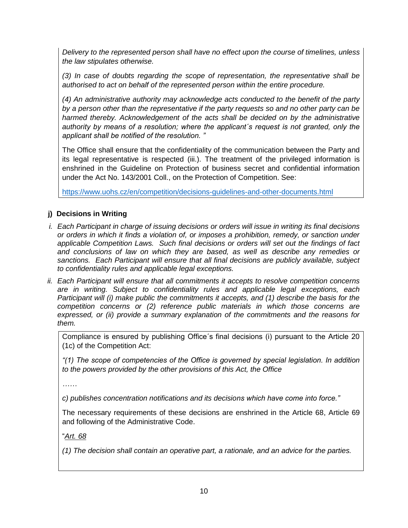*Delivery to the represented person shall have no effect upon the course of timelines, unless the law stipulates otherwise.* 

*(3) In case of doubts regarding the scope of representation, the representative shall be authorised to act on behalf of the represented person within the entire procedure.* 

*(4) An administrative authority may acknowledge acts conducted to the benefit of the party by a person other than the representative if the party requests so and no other party can be*  harmed thereby. Acknowledgement of the acts shall be decided on by the administrative *authority by means of a resolution; where the applicant´s request is not granted, only the applicant shall be notified of the resolution. "*

The Office shall ensure that the confidentiality of the communication between the Party and its legal representative is respected (iii.). The treatment of the privileged information is enshrined in the Guideline on Protection of business secret and confidential information under the Act No. 143/2001 Coll., on the Protection of Competition. See:

<https://www.uohs.cz/en/competition/decisions-guidelines-and-other-documents.html>

# **j) Decisions in Writing**

- *i. Each Participant in charge of issuing decisions or orders will issue in writing its final decisions or orders in which it finds a violation of, or imposes a prohibition, remedy, or sanction under applicable Competition Laws. Such final decisions or orders will set out the findings of fact and conclusions of law on which they are based, as well as describe any remedies or sanctions. Each Participant will ensure that all final decisions are publicly available, subject to confidentiality rules and applicable legal exceptions.*
- *ii. Each Participant will ensure that all commitments it accepts to resolve competition concerns are in writing. Subject to confidentiality rules and applicable legal exceptions, each Participant will (i) make public the commitments it accepts, and (1) describe the basis for the competition concerns or (2) reference public materials in which those concerns are expressed, or (ii) provide a summary explanation of the commitments and the reasons for them.*

Compliance is ensured by publishing Office´s final decisions (i) pursuant to the Article 20 (1c) of the Competition Act:

*"(1) The scope of competencies of the Office is governed by special legislation. In addition to the powers provided by the other provisions of this Act, the Office* 

*……* 

*c) publishes concentration notifications and its decisions which have come into force."* 

The necessary requirements of these decisions are enshrined in the Article 68, Article 69 and following of the Administrative Code.

"*Art. 68*

*(1) The decision shall contain an operative part, a rationale, and an advice for the parties.*